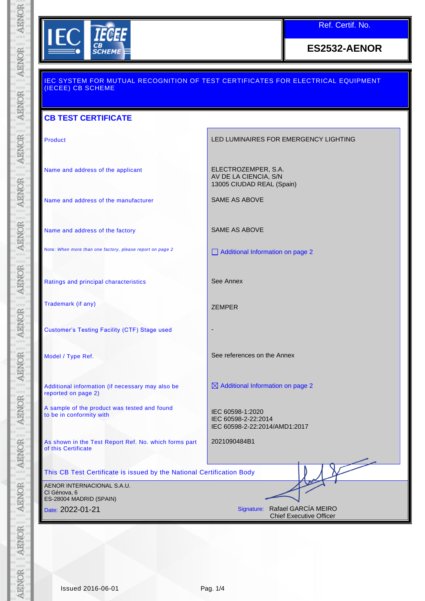

Ref. Certif. No.

**ES2532-AENOR**

| (IECEE) CB SCHEME                                                            | <u>IEC SYSTEM FOR MUTUAL RECOGNITION OF TEST CERTIFICATES FOR ELECTRICAL EQUIPMENT</u> |  |  |  |
|------------------------------------------------------------------------------|----------------------------------------------------------------------------------------|--|--|--|
| <b>CB TEST CERTIFICATE</b>                                                   |                                                                                        |  |  |  |
| Product                                                                      | LED LUMINAIRES FOR EMERGENCY LIGHTING                                                  |  |  |  |
| Name and address of the applicant                                            | ELECTROZEMPER, S.A.<br>AV DE LA CIENCIA, S/N<br>13005 CIUDAD REAL (Spain)              |  |  |  |
| Name and address of the manufacturer                                         | SAME AS ABOVE                                                                          |  |  |  |
| Name and address of the factory                                              | <b>SAME AS ABOVE</b>                                                                   |  |  |  |
| Note: When more than one factory, please report on page 2                    | Additional Information on page 2                                                       |  |  |  |
| Ratings and principal characteristics                                        | See Annex                                                                              |  |  |  |
| Trademark (if any)                                                           | <b>ZEMPER</b>                                                                          |  |  |  |
| <b>Customer's Testing Facility (CTF) Stage used</b>                          |                                                                                        |  |  |  |
| Model / Type Ref.                                                            | See references on the Annex                                                            |  |  |  |
| Additional information (if necessary may also be<br>reported on page 2)      | $\boxtimes$ Additional Information on page 2                                           |  |  |  |
| A sample of the product was tested and found<br>to be in conformity with     | IEC 60598-1:2020<br>IEC 60598-2-22:2014<br>IEC 60598-2-22:2014/AMD1:2017               |  |  |  |
| As shown in the Test Report Ref. No. which forms part<br>of this Certificate | 2021090484B1                                                                           |  |  |  |
| This CB Test Certificate is issued by the National Certification Body        |                                                                                        |  |  |  |
| AENOR INTERNACIONAL S.A.U.<br>Cl Génova, 6                                   |                                                                                        |  |  |  |
| ES-28004 MADRID (SPAIN)<br>Date: 2022-01-21                                  | Signature: Rafael GARCÍA MEIRO<br><b>Chief Executive Officer</b>                       |  |  |  |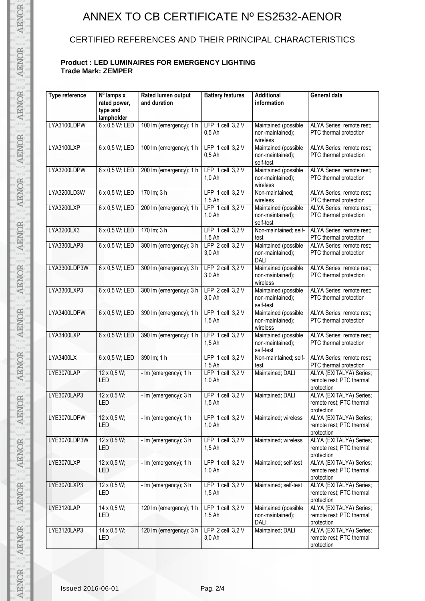# ANNEX TO CB CERTIFICATE Nº ES2532-AENOR

### CERTIFIED REFERENCES AND THEIR PRINCIPAL CHARACTERISTICS

#### **Product : LED LUMINAIRES FOR EMERGENCY LIGHTING Trade Mark: ZEMPER**

| Type reference | Nº lamps x<br>rated power,<br>type and<br>lampholder | Rated lumen output<br>and duration | <b>Battery features</b>          | <b>Additional</b><br>information                      | General data                                                      |
|----------------|------------------------------------------------------|------------------------------------|----------------------------------|-------------------------------------------------------|-------------------------------------------------------------------|
| LYA3100LDPW    | 6 x 0,5 W; LED                                       | 100 lm (emergency); 1 h            | LFP $1$ cell $3,2$ V<br>$0,5$ Ah | Maintained (possible<br>non-maintained);<br>wireless  | ALYA Series; remote rest;<br>PTC thermal protection               |
| LYA3100LXP     | 6 x 0,5 W; LED                                       | 100 lm (emergency); 1 h            | LFP $1$ cell $3,2$ V<br>$0,5$ Ah | Maintained (possible<br>non-maintained);<br>self-test | ALYA Series; remote rest;<br>PTC thermal protection               |
| LYA3200LDPW    | 6 x 0,5 W; LED                                       | 200 lm (emergency); 1 h            | LFP $1$ cell $3.2$ V<br>1.0 Ah   | Maintained (possible<br>non-maintained);<br>wireless  | ALYA Series; remote rest;<br>PTC thermal protection               |
| LYA3200LD3W    | 6 x 0,5 W; LED                                       | 170 lm; 3 h                        | LFP $1$ cell $3,2$ V<br>$1,5$ Ah | Non-maintained;<br>wireless                           | ALYA Series; remote rest;<br>PTC thermal protection               |
| LYA3200LXP     | 6 x 0,5 W; LED                                       | 200 lm (emergency); 1 h            | LFP $1$ cell $3,2$ V<br>1,0 Ah   | Maintained (possible<br>non-maintained);<br>self-test | ALYA Series; remote rest;<br>PTC thermal protection               |
| LYA3200LX3     | 6 x 0,5 W; LED                                       | 170 lm; 3 h                        | LFP $1$ cell $3.2$ V<br>$1,5$ Ah | Non-maintained; self-<br>test                         | ALYA Series; remote rest;<br>PTC thermal protection               |
| LYA3300LAP3    | 6 x 0,5 W; LED                                       | 300 lm (emergency); 3 h            | LFP $2$ cell $3.2$ V<br>3,0 Ah   | Maintained (possible<br>non-maintained);<br>DALI      | ALYA Series; remote rest;<br>PTC thermal protection               |
| LYA3300LDP3W   | 6 x 0,5 W; LED                                       | 300 lm (emergency); 3 h            | LFP $2$ cell $3.2$ V<br>3,0 Ah   | Maintained (possible<br>non-maintained);<br>wireless  | ALYA Series; remote rest;<br>PTC thermal protection               |
| LYA3300LXP3    | 6 x 0.5 W; LED                                       | 300 lm (emergency); 3 h            | LFP $2$ cell $3,2$ V<br>3,0 Ah   | Maintained (possible<br>non-maintained);<br>self-test | ALYA Series; remote rest;<br>PTC thermal protection               |
| LYA3400LDPW    | 6 x 0,5 W; LED                                       | 390 Im (emergency); 1 h            | LFP $1$ cell $3,2$ V<br>$1,5$ Ah | Maintained (possible<br>non-maintained);<br>wireless  | ALYA Series; remote rest;<br>PTC thermal protection               |
| LYA3400LXP     | 6 x 0,5 W; LED                                       | 390 lm (emergency); 1 h            | LFP $1$ cell $3,2$ V<br>$1,5$ Ah | Maintained (possible<br>non-maintained);<br>self-test | ALYA Series; remote rest;<br>PTC thermal protection               |
| LYA3400LX      | 6 x 0,5 W; LED                                       | 390 lm; 1 h                        | LFP $1$ cell $3,2$ V<br>$1,5$ Ah | Non-maintained; self-<br>test                         | ALYA Series; remote rest;<br>PTC thermal protection               |
| LYE3070LAP     | 12 x 0,5 W;<br>LED                                   | - Im (emergency); 1 h              | LFP $1$ cell $3,2$ V<br>$1,0$ Ah | Maintained; DALI                                      | ALYA (EXITALYA) Series;<br>remote rest; PTC thermal<br>protection |
| LYE3070LAP3    | 12 x 0,5 W;<br>LED                                   | - Im (emergency); 3 h              | LFP $1$ cell $3,2$ V<br>1,5 Ah   | Maintained; DALI                                      | ALYA (EXITALYA) Series;<br>remote rest; PTC thermal<br>protection |
| LYE3070LDPW    | $12 \times 0.5 W$ ;<br>LED                           | - Im (emergency); 1 h              | LFP $1$ cell $3,2$ V<br>1,0 Ah   | Maintained; wireless                                  | ALYA (EXITALYA) Series;<br>remote rest; PTC thermal<br>protection |
| LYE3070LDP3W   | $12 \times 0.5 W$ ;<br>LED                           | - Im (emergency); 3 h              | LFP 1 cell $3,2$ V<br>1,5 Ah     | Maintained; wireless                                  | ALYA (EXITALYA) Series;<br>remote rest; PTC thermal<br>protection |
| LYE3070LXP     | $12 \times 0.5 W$ ;<br>LED                           | - Im (emergency); 1 h              | LFP $1$ cell $3,2$ V<br>$1,0$ Ah | Maintained; self-test                                 | ALYA (EXITALYA) Series;<br>remote rest; PTC thermal<br>protection |
| LYE3070LXP3    | 12 x 0,5 W;<br>LED                                   | - Im (emergency); 3 h              | LFP $1$ cell $3,2$ V<br>$1,5$ Ah | Maintained; self-test                                 | ALYA (EXITALYA) Series;<br>remote rest; PTC thermal<br>protection |
| LYE3120LAP     | $14 \times 0.5 W$ ;<br>LED                           | 120 lm (emergency); 1 h            | LFP 1 cell 3,2 V<br>$1,5$ Ah     | Maintained (possible<br>non-maintained);<br>DALI      | ALYA (EXITALYA) Series;<br>remote rest; PTC thermal<br>protection |
| LYE3120LAP3    | $14 \times 0.5 W$ ;<br>LED                           | 120 lm (emergency); 3 h            | LFP 2 cell 3,2 V<br>3,0 Ah       | Maintained; DALI                                      | ALYA (EXITALYA) Series;<br>remote rest; PTC thermal<br>protection |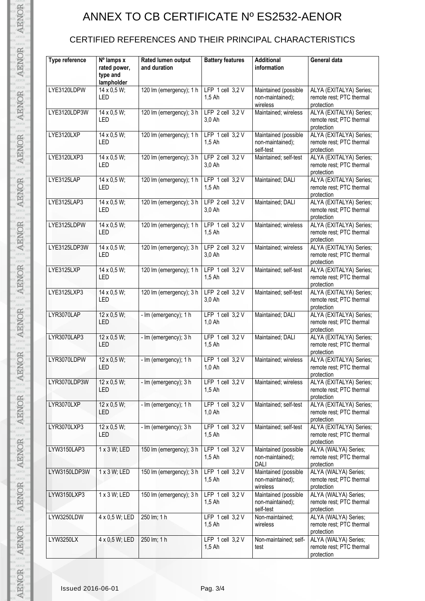## ANNEX TO CB CERTIFICATE Nº ES2532-AENOR

### CERTIFIED REFERENCES AND THEIR PRINCIPAL CHARACTERISTICS

| Type reference | Nº lamps x<br>rated power,<br>type and<br>lampholder | Rated lumen output<br>and duration | <b>Battery features</b>          | <b>Additional</b><br>information                      | General data                                                      |
|----------------|------------------------------------------------------|------------------------------------|----------------------------------|-------------------------------------------------------|-------------------------------------------------------------------|
| LYE3120LDPW    | 14 x 0,5 W;<br>LED                                   | 120 lm (emergency); 1 h            | LFP $1$ cell $3,2$ V<br>$1.5$ Ah | Maintained (possible<br>non-maintained);<br>wireless  | ALYA (EXITALYA) Series;<br>remote rest; PTC thermal<br>protection |
| LYE3120LDP3W   | 14 x 0,5 W;<br>LED                                   | 120 lm (emergency); 3 h            | LFP $2$ cell $3,2$ V<br>3,0 Ah   | Maintained; wireless                                  | ALYA (EXITALYA) Series;<br>remote rest; PTC thermal<br>protection |
| LYE3120LXP     | 14 x 0,5 W;<br>LED                                   | 120 lm (emergency); 1 h            | LFP $1$ cell $3.2$ V<br>$1,5$ Ah | Maintained (possible<br>non-maintained);<br>self-test | ALYA (EXITALYA) Series;<br>remote rest; PTC thermal<br>protection |
| LYE3120LXP3    | 14 x 0,5 W;<br>LED                                   | 120 Im (emergency); 3 h            | LFP $2$ cell $3,2$ V<br>3,0 Ah   | Maintained; self-test                                 | ALYA (EXITALYA) Series;<br>remote rest; PTC thermal<br>protection |
| LYE3125LAP     | 14 x 0,5 W;<br>LED                                   | 120 lm (emergency); 1 h            | LFP 1 cell 3,2 V<br>$1,5$ Ah     | Maintained; DALI                                      | ALYA (EXITALYA) Series;<br>remote rest; PTC thermal<br>protection |
| LYE3125LAP3    | 14 x 0,5 W;<br>LED                                   | 120 lm (emergency); 3 h            | LFP $2$ cell $3,2$ V<br>3,0 Ah   | Maintained; DALI                                      | ALYA (EXITALYA) Series;<br>remote rest; PTC thermal<br>protection |
| LYE3125LDPW    | 14 x 0,5 W;<br>LED                                   | 120 lm (emergency); 1 h            | LFP $1$ cell $3,2$ V<br>$1,5$ Ah | Maintained; wireless                                  | ALYA (EXITALYA) Series;<br>remote rest; PTC thermal<br>protection |
| LYE3125LDP3W   | 14 x 0,5 W;<br>LED                                   | 120 lm (emergency); 3 h            | LFP $2$ cell $3,2$ V<br>3,0 Ah   | Maintained; wireless                                  | ALYA (EXITALYA) Series;<br>remote rest; PTC thermal<br>protection |
| LYE3125LXP     | 14 x 0,5 W;<br>LED                                   | 120 lm (emergency); 1 h            | LFP $1$ cell $3,2$ V<br>$1,5$ Ah | Maintained; self-test                                 | ALYA (EXITALYA) Series;<br>remote rest; PTC thermal<br>protection |
| LYE3125LXP3    | 14 x 0,5 W;<br>LED                                   | 120 lm (emergency); 3 h            | LFP 2 cell 3,2 V<br>3,0 Ah       | Maintained; self-test                                 | ALYA (EXITALYA) Series;<br>remote rest; PTC thermal<br>protection |
| LYR3070LAP     | $12 \times 0.5 W$ ;<br>LED                           | - Im (emergency); 1 h              | LFP $1$ cell $3,2$ V<br>$1,0$ Ah | Maintained; DALI                                      | ALYA (EXITALYA) Series;<br>remote rest; PTC thermal<br>protection |
| LYR3070LAP3    | $12 \times 0.5 W$ ;<br>LED                           | - Im (emergency); 3 h              | LFP $1$ cell $3.2$ V<br>$1,5$ Ah | Maintained; DALI                                      | ALYA (EXITALYA) Series;<br>remote rest; PTC thermal<br>protection |
| LYR3070LDPW    | $12 \times 0.5 W$ ;<br>LED                           | - Im (emergency); 1 h              | LFP $1$ cell $3.2$ V<br>$1,0$ Ah | Maintained; wireless                                  | ALYA (EXITALYA) Series;<br>remote rest; PTC thermal<br>protection |
| LYR3070LDP3W   | $12 \times 0.5 W$ ;<br>LED                           | - Im (emergency); 3 h              | LFP 1 cell 3,2 V<br>$1.5$ Ah     | Maintained; wireless                                  | ALYA (EXITALYA) Series;<br>remote rest; PTC thermal<br>protection |
| LYR3070LXP     | $12 \times 0.5 W$ ;<br>LED                           | - Im (emergency); 1 h              | LFP $1$ cell $3,2$ V<br>$1,0$ Ah | Maintained; self-test                                 | ALYA (EXITALYA) Series;<br>remote rest; PTC thermal<br>protection |
| LYR3070LXP3    | $12 \times 0.5 W$ ;<br>LED                           | - Im (emergency); 3 h              | LFP $1$ cell $3,2$ V<br>$1.5$ Ah | Maintained; self-test                                 | ALYA (EXITALYA) Series;<br>remote rest; PTC thermal<br>protection |
| LYW3150LAP3    | 1 x 3 W; LED                                         | 150 lm (emergency); 3 h            | LFP 1 cell 3,2 V<br>$1,5$ Ah     | Maintained (possible<br>non-maintained);<br>DALI      | ALYA (WALYA) Series;<br>remote rest; PTC thermal<br>protection    |
| LYW3150LDP3W   | 1 x 3 W; LED                                         | 150 lm (emergency); 3 h            | LFP 1 cell 3,2 V<br>$1,5$ Ah     | Maintained (possible<br>non-maintained);<br>wireless  | ALYA (WALYA) Series;<br>remote rest; PTC thermal<br>protection    |
| LYW3150LXP3    | 1 x 3 W; LED                                         | 150 lm (emergency); 3 h            | LFP $1$ cell $3,2$ V<br>$1,5$ Ah | Maintained (possible<br>non-maintained);<br>self-test | ALYA (WALYA) Series;<br>remote rest; PTC thermal<br>protection    |
| LYW3250LDW     | 4 x 0,5 W; LED                                       | 250 lm; 1 h                        | LFP $1$ cell $3,2$ V<br>$1,5$ Ah | Non-maintained;<br>wireless                           | ALYA (WALYA) Series;<br>remote rest; PTC thermal<br>protection    |
| LYW3250LX      | 4 x 0,5 W; LED                                       | 250 lm; 1 h                        | LFP 1 cell 3,2 V<br>$1,5$ Ah     | Non-maintained; self-<br>test                         | ALYA (WALYA) Series;<br>remote rest; PTC thermal<br>protection    |